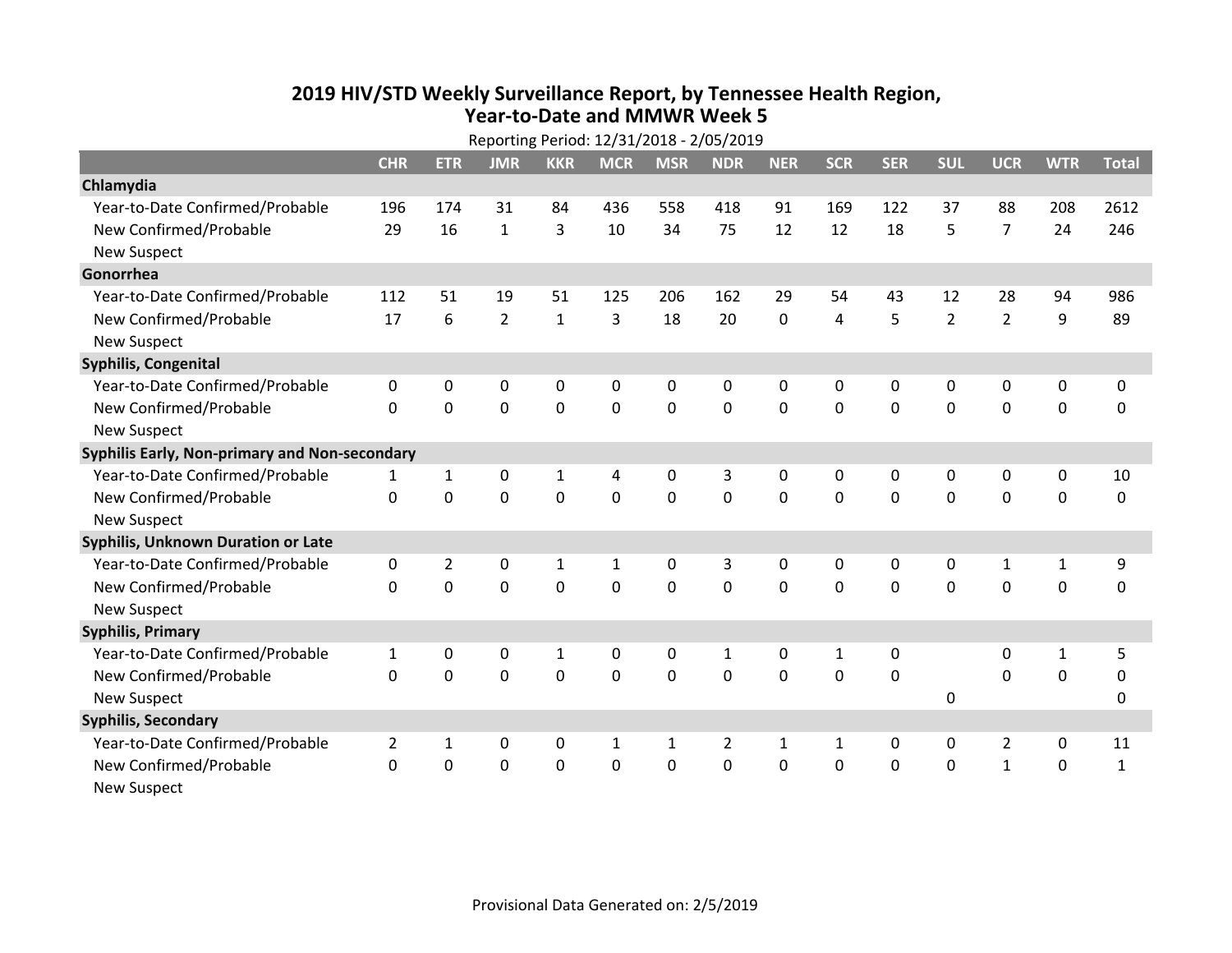## **2019 HIV /STD Weekly Surveillance Report, by Tennessee Health Region, Year‐to‐Date and MMWR Week 5**

| Reporting Period: 12/31/2018 - 2/05/2019      |                |                |                |              |              |              |                |             |              |              |                |                |              |              |
|-----------------------------------------------|----------------|----------------|----------------|--------------|--------------|--------------|----------------|-------------|--------------|--------------|----------------|----------------|--------------|--------------|
|                                               | <b>CHR</b>     | <b>ETR</b>     | <b>JMR</b>     | <b>KKR</b>   | <b>MCR</b>   | <b>MSR</b>   | <b>NDR</b>     | <b>NER</b>  | <b>SCR</b>   | <b>SER</b>   | <b>SUL</b>     | <b>UCR</b>     | <b>WTR</b>   | <b>Total</b> |
| Chlamydia                                     |                |                |                |              |              |              |                |             |              |              |                |                |              |              |
| Year-to-Date Confirmed/Probable               | 196            | 174            | 31             | 84           | 436          | 558          | 418            | 91          | 169          | 122          | 37             | 88             | 208          | 2612         |
| New Confirmed/Probable                        | 29             | 16             | $\mathbf{1}$   | 3            | 10           | 34           | 75             | 12          | 12           | 18           | 5              | $\overline{7}$ | 24           | 246          |
| <b>New Suspect</b>                            |                |                |                |              |              |              |                |             |              |              |                |                |              |              |
| Gonorrhea                                     |                |                |                |              |              |              |                |             |              |              |                |                |              |              |
| Year-to-Date Confirmed/Probable               | 112            | 51             | 19             | 51           | 125          | 206          | 162            | 29          | 54           | 43           | 12             | 28             | 94           | 986          |
| New Confirmed/Probable                        | 17             | 6              | $\overline{2}$ | $\mathbf 1$  | 3            | 18           | 20             | 0           | 4            | 5            | $\overline{2}$ | $\overline{2}$ | 9            | 89           |
| <b>New Suspect</b>                            |                |                |                |              |              |              |                |             |              |              |                |                |              |              |
| Syphilis, Congenital                          |                |                |                |              |              |              |                |             |              |              |                |                |              |              |
| Year-to-Date Confirmed/Probable               | 0              | 0              | 0              | 0            | 0            | 0            | 0              | 0           | 0            | 0            | 0              | 0              | 0            | 0            |
| New Confirmed/Probable                        | $\mathbf{0}$   | 0              | 0              | $\mathbf 0$  | $\mathbf 0$  | $\mathbf 0$  | $\mathbf 0$    | 0           | $\mathbf 0$  | 0            | $\mathbf 0$    | 0              | $\mathbf 0$  | $\mathbf 0$  |
| <b>New Suspect</b>                            |                |                |                |              |              |              |                |             |              |              |                |                |              |              |
| Syphilis Early, Non-primary and Non-secondary |                |                |                |              |              |              |                |             |              |              |                |                |              |              |
| Year-to-Date Confirmed/Probable               | 1              | $\mathbf{1}$   | 0              | 1            | 4            | 0            | 3              | 0           | 0            | 0            | 0              | 0              | 0            | 10           |
| New Confirmed/Probable                        | $\mathbf{0}$   | $\mathbf 0$    | 0              | 0            | $\mathbf 0$  | $\mathbf 0$  | 0              | 0           | $\Omega$     | $\Omega$     | $\mathbf 0$    | 0              | $\mathbf 0$  | $\mathbf 0$  |
| <b>New Suspect</b>                            |                |                |                |              |              |              |                |             |              |              |                |                |              |              |
| <b>Syphilis, Unknown Duration or Late</b>     |                |                |                |              |              |              |                |             |              |              |                |                |              |              |
| Year-to-Date Confirmed/Probable               | $\mathbf 0$    | $\overline{2}$ | 0              | $\mathbf{1}$ | $\mathbf{1}$ | 0            | 3              | 0           | 0            | $\mathbf{0}$ | $\mathbf{0}$   | $\mathbf{1}$   | $\mathbf{1}$ | 9            |
| New Confirmed/Probable                        | $\Omega$       | $\mathbf 0$    | 0              | $\mathbf 0$  | $\mathbf 0$  | $\mathbf 0$  | 0              | $\mathbf 0$ | $\Omega$     | $\Omega$     | $\Omega$       | 0              | $\mathbf 0$  | 0            |
| <b>New Suspect</b>                            |                |                |                |              |              |              |                |             |              |              |                |                |              |              |
| <b>Syphilis, Primary</b>                      |                |                |                |              |              |              |                |             |              |              |                |                |              |              |
| Year-to-Date Confirmed/Probable               | $\mathbf{1}$   | 0              | 0              | $\mathbf 1$  | 0            | 0            | $\mathbf{1}$   | 0           | $\mathbf{1}$ | 0            |                | 0              | $\mathbf{1}$ | 5            |
| New Confirmed/Probable                        | $\mathbf{0}$   | 0              | 0              | 0            | 0            | $\mathbf 0$  | 0              | 0           | 0            | $\mathbf{0}$ |                | 0              | $\mathbf 0$  | 0            |
| <b>New Suspect</b>                            |                |                |                |              |              |              |                |             |              |              | 0              |                |              | 0            |
| <b>Syphilis, Secondary</b>                    |                |                |                |              |              |              |                |             |              |              |                |                |              |              |
| Year-to-Date Confirmed/Probable               | $\overline{2}$ | 1              | 0              | $\mathbf 0$  | 1            | $\mathbf{1}$ | $\overline{2}$ | 1           | 1            | 0            | 0              | $\overline{2}$ | $\pmb{0}$    | 11           |
| New Confirmed/Probable                        | 0              | 0              | 0              | $\mathbf 0$  | 0            | 0            | 0              | 0           | 0            | 0            | $\mathbf 0$    | $\mathbf{1}$   | $\mathbf 0$  | $\mathbf{1}$ |
| <b>New Suspect</b>                            |                |                |                |              |              |              |                |             |              |              |                |                |              |              |